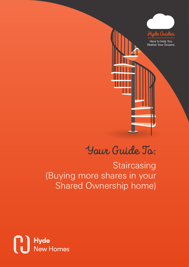

# Your Guide To:

**Staircasing** (Buying more shares in your Shared Ownership home)

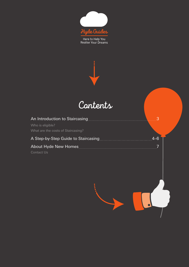





| An Introduction to Staircasing                         |     |
|--------------------------------------------------------|-----|
| Who is eligible?<br>What are the costs of Staircasing? |     |
| A Step-by-Step Guide to Staircasing                    | 4–6 |
| About Hyde New Homes<br>Contact Us                     |     |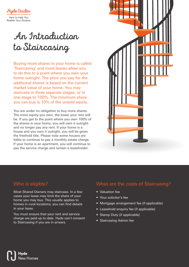

# An Introduction to Staircasing

Buying more shares in your home is called 'Staircasing' and most leases allow you to do this to a point where you own your home outright. The price you pay for the additional shares is based on the current market value of your home. You may staircase in three separate stages, or in one stage to 100%. The minimum share you can buy is 10% of the unsold equity.

You are under no obligation to buy more shares. The more equity you own, the lower your rent will be. If you get to the point where you own 100% of the shares in your home, you will own it outright and no longer pay any rent. If your home is a house and you own it outright, you will be given the freehold title. Please note some houses are liable to continue to pay a monthly estate charge. If your home is an apartment, you will continue to pay the service charge and remain a leaseholder.



#### Who is eligible?

Most Shared Owners may staircase. In a few cases your lease may limit the share of your home you may buy. This usually applies to homes in rural locations; you can find details in your lease.

You must ensure that your rent and service charge are paid up to date. Hyde can't consent to Staircasing if you are in arrears.

#### What are the costs of Staircasing?

- Valuation fee
- Your solicitor's fee
- Mortgage arrangement fee (if applicable)
- Leasehold enquiry fee (if applicable)
- Stamp Duty (if applicable)
- Staircasing Admin fee

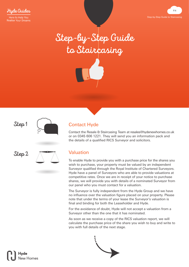Hyde Guides



Step-by-Step Guide to Staircasing





#### Contact Hyde

Contact the Resale & Staircasing Team at resales@hydenewhomes.co.uk or on 0345 606 1221. They will send you an information pack and the details of a qualified RICS Surveyor and solicitors.

#### Valuation

To enable Hyde to provide you with a purchase price for the shares you wish to purchase, your property must be valued by an independent Surveyor qualified through the Royal Institute of Chartered Surveyors. Hyde have a panel of Surveyors who are able to provide valuations at competitive rates. Once we are in receipt of your notice to purchase shares, we will provide you with details of a nominated Surveyor from our panel who you must contact for a valuation.

The Surveyor is fully independent from the Hyde Group and we have no influence over the valuation figure placed on your property. Please note that under the terms of your lease the Surveyor's valuation is final and binding for both the Leaseholder and Hyde.

For the avoidance of doubt, Hyde will not accept a valuation from a Surveyor other than the one that it has nominated.

As soon as we receive a copy of the RICS valuation report, we will calculate the purchase price of the share you wish to buy and write to you with full details of the next stage.





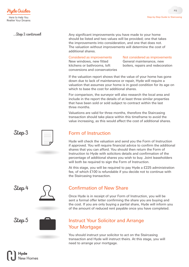Hude Guides

…Step 2 continued

Any significant improvements you have made to your home should be listed and two values will be provided; one that takes the improvements into consideration, and one that does not. The valuation without improvements will determine the cost of additional shares.

#### Considered as improvements

New windows, new fitted kitchens or bathrooms, loft conversions and conservatories

#### Not considered as improvements

General maintenance, new boilers, repairs and redecoration

If the valuation report shows that the value of your home has gone down due to lack of maintenance or repair, Hyde will require a valuation that assumes your home is in good condition for its age on which to base the cost for additional shares.

For comparison, the surveyor will also research the local area and include in the report the details of at least three similar properties that have been sold or sold subject to contract within the last three months.

Valuations are valid for three months, therefore the Staircasing transaction should take place within this timeframe to avoid the value increasing, as this would affect the cost of additional shares.

## Form of Instruction

Hyde will check the valuation and send you the Form of Instruction if approved. You will require financial advice to confirm the additional shares that you can afford. You should then return the Form of Instruction to Hyde with solicitors details and confirmation of the percentage of additional shares you wish to buy. Joint leaseholders will both be required to sign the Form of Instruction.

At this stage, you will be required to pay Hyde a £225 administration fee, of which £100 is refundable if you decide not to continue with the Staircasing transaction.

#### Confirmation of New Share

Once Hyde is in receipt of your Form of Instruction, you will be sent a formal offer letter confirming the share you are buying and the cost. If you are only buying a partial share, Hyde will inform you of the amount of reduced rent payable once you have completed.

# Instruct Your Solicitor and Arrange Your Mortgage

You should instruct your solicitor to act on the Staircasing transaction and Hyde will instruct theirs. At this stage, you will need to arrange your mortgage.

Step 3







Step 5

**Vew Homes** 



 $P<sub>5</sub>$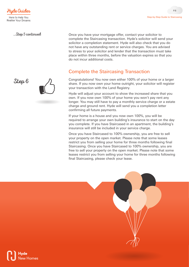Step 6

…Step 5 continued

Once you have your mortgage offer, contact your solicitor to complete the Staircasing transaction. Hyde's solicitor will send your solicitor a completion statement. Hyde will also check that you do not have any outstanding rent or service charges. You are advised to stress to your solicitor and lender that the transaction must take place within three months, before the valuation expires so that you do not incur additional costs.

### Complete the Staircasing Transaction

Congratulations! You now own either 100% of your home or a larger share. If you now own your home outright, your solicitor will register your transaction with the Land Registry.

Hyde will adjust your account to show the increased share that you own. If you now own 100% of your home you won't pay rent any longer. You may still have to pay a monthly service charge or a estate charge and ground rent. Hyde will send you a completion letter confirming all future payments.

If your home is a house and you now own 100%, you will be required to arrange your own building's insurance to start on the day you complete. If you have Staircased in an apartment, the building's insurance will still be included in your service charge.

Once you have Staircased to 100% ownership, you are free to sell your property on the open market. Please note that some leases restrict you from selling your home for three months following final Staircasing. Once you have Staircased to 100% ownership, you are free to sell your property on the open market. Please note that some leases restrict you from selling your home for three months following final Staircasing, please check your lease.



Step-by-Step Guide to Staircasing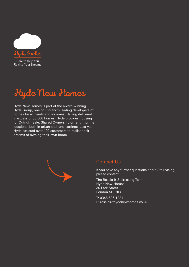

Hyde New Homes

Hyde New Homes is part of the award-winning Hyde Group, one of England's leading developers of homes for all needs and incomes. Having delivered in excess of 50,000 homes, Hyde provides housing for Outright Sale, Shared Ownership or rent in prime locations, both in urban and rural settings. Last year, Hyde assisted over 400 customers to realise their dreams of owning their own home.



### Contact Us

If you have any further questions about Staircasing, please contact:

The Resale & Staircasing Team Hyde New Homes 30 Park Street London SE1 9EQ

T: 0345 606 1221 E: resales@hydenewhomes.co.uk